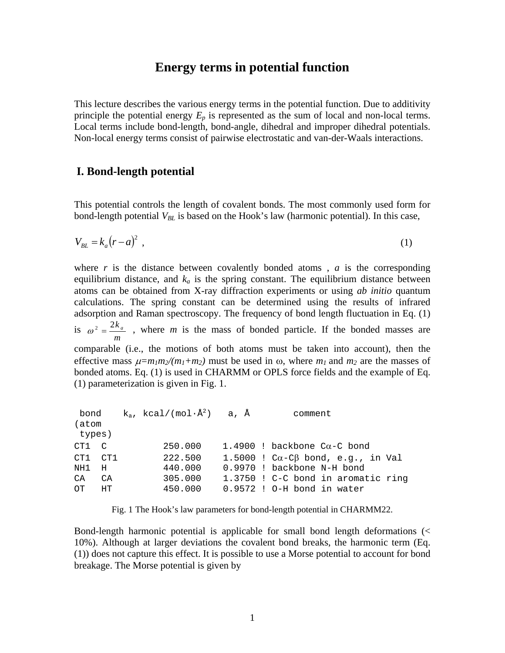# **Energy terms in potential function**

This lecture describes the various energy terms in the potential function. Due to additivity principle the potential energy  $E_p$  is represented as the sum of local and non-local terms. Local terms include bond-length, bond-angle, dihedral and improper dihedral potentials. Non-local energy terms consist of pairwise electrostatic and van-der-Waals interactions.

## **I. Bond-length potential**

This potential controls the length of covalent bonds. The most commonly used form for bond-length potential  $V_{BL}$  is based on the Hook's law (harmonic potential). In this case,

$$
V_{BL} = k_a (r - a)^2 \tag{1}
$$

where  $r$  is the distance between covalently bonded atoms,  $a$  is the corresponding equilibrium distance, and  $k_a$  is the spring constant. The equilibrium distance between atoms can be obtained from X-ray diffraction experiments or using *ab initio* quantum calculations. The spring constant can be determined using the results of infrared adsorption and Raman spectroscopy. The frequency of bond length fluctuation in Eq. (1) is *m*  $\omega^2 = \frac{2k_a}{m}$ , where *m* is the mass of bonded particle. If the bonded masses are comparable (i.e., the motions of both atoms must be taken into account), then the effective mass  $\mu = m_1 m_2/(m_1 + m_2)$  must be used in  $\omega$ , where  $m_1$  and  $m_2$  are the masses of bonded atoms. Eq. (1) is used in CHARMM or OPLS force fields and the example of Eq. (1) parameterization is given in Fig. 1.

| bond    |            | $k_a$ , kcal/(mol·Å <sup>2</sup> ) a, Å |  | comment                                        |
|---------|------------|-----------------------------------------|--|------------------------------------------------|
| (atom   |            |                                         |  |                                                |
| types)  |            |                                         |  |                                                |
| CT1 C   |            | 250.000                                 |  | 1.4900 ! backbone $Ca-C$ bond                  |
| CT1 CT1 |            | 222.500                                 |  | 1.5000 ! $C\alpha - C\beta$ bond, e.g., in Val |
| NH1     | $_{\rm H}$ | 440.000                                 |  | 0.9970 ! backbone N-H bond                     |
| CA      | CA         | 305,000                                 |  | 1.3750 ! C-C bond in aromatic ring             |
| OT.     | HT         | 450.000                                 |  | $0.9572$ ! O-H bond in water                   |

Fig. 1 The Hook's law parameters for bond-length potential in CHARMM22.

Bond-length harmonic potential is applicable for small bond length deformations (< 10%). Although at larger deviations the covalent bond breaks, the harmonic term (Eq. (1)) does not capture this effect. It is possible to use a Morse potential to account for bond breakage. The Morse potential is given by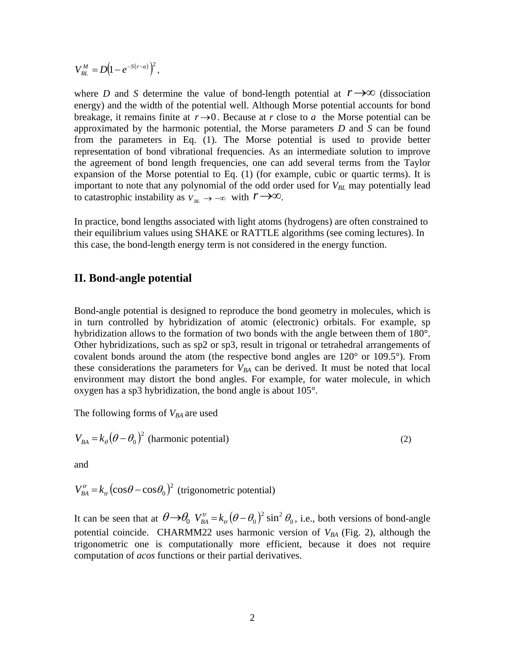$V_{BL}^M = D(1 - e^{-S(r-a)})^2$ ,

where *D* and *S* determine the value of bond-length potential at  $r \rightarrow \infty$  (dissociation energy) and the width of the potential well. Although Morse potential accounts for bond breakage, it remains finite at  $r \rightarrow 0$ . Because at *r* close to *a* the Morse potential can be approximated by the harmonic potential, the Morse parameters *D* and *S* can be found from the parameters in Eq. (1). The Morse potential is used to provide better representation of bond vibrational frequencies. As an intermediate solution to improve the agreement of bond length frequencies, one can add several terms from the Taylor expansion of the Morse potential to Eq. (1) (for example, cubic or quartic terms). It is important to note that any polynomial of the odd order used for  $V_{BL}$  may potentially lead to catastrophic instability as  $V_{B} \rightarrow -\infty$  with  $r \rightarrow \infty$ .

In practice, bond lengths associated with light atoms (hydrogens) are often constrained to their equilibrium values using SHAKE or RATTLE algorithms (see coming lectures). In this case, the bond-length energy term is not considered in the energy function.

#### **II. Bond-angle potential**

Bond-angle potential is designed to reproduce the bond geometry in molecules, which is in turn controlled by hybridization of atomic (electronic) orbitals. For example, sp hybridization allows to the formation of two bonds with the angle between them of 180°. Other hybridizations, such as sp2 or sp3, result in trigonal or tetrahedral arrangements of covalent bonds around the atom (the respective bond angles are 120° or 109.5°). From these considerations the parameters for  $V_{BA}$  can be derived. It must be noted that local environment may distort the bond angles. For example, for water molecule, in which oxygen has a sp3 hybridization, the bond angle is about 105°.

The following forms of  $V_{BA}$  are used

$$
V_{BA} = k_{\theta} (\theta - \theta_0)^2
$$
 (harmonic potential) (2)

and

 $V_{BA}^{tr} = k_r (\cos \theta - \cos \theta_0)^2$  (trigonometric potential)

It can be seen that at  $\theta \rightarrow \theta_0$   $V_{BA}^{tr} = k_r (\theta - \theta_0)^2 \sin^2 \theta_0$ , i.e., both versions of bond-angle potential coincide. CHARMM22 uses harmonic version of  $V_{BA}$  (Fig. 2), although the trigonometric one is computationally more efficient, because it does not require computation of *acos* functions or their partial derivatives.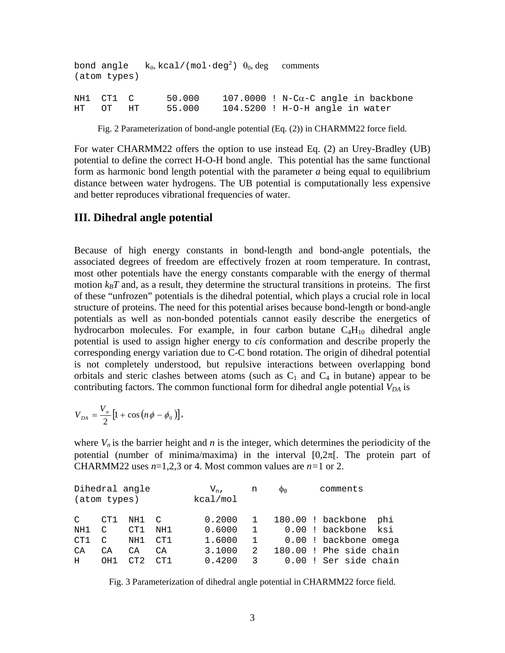| (atom types)          | bond angle $k_{\theta}$ , kcal/(mol·deg <sup>2</sup> ) $\theta_0$ , deg comments |                                                                                   |
|-----------------------|----------------------------------------------------------------------------------|-----------------------------------------------------------------------------------|
| NH1 CT1 C<br>HT OT HT | 50.000<br>55.000                                                                 | $107.0000$ ! N-C $\alpha$ -C angle in backbone<br>104.5200 ! H-O-H angle in water |

Fig. 2 Parameterization of bond-angle potential (Eq. (2)) in CHARMM22 force field.

For water CHARMM22 offers the option to use instead Eq. (2) an Urey-Bradley (UB) potential to define the correct H-O-H bond angle. This potential has the same functional form as harmonic bond length potential with the parameter *a* being equal to equilibrium distance between water hydrogens. The UB potential is computationally less expensive and better reproduces vibrational frequencies of water.

#### **III. Dihedral angle potential**

Because of high energy constants in bond-length and bond-angle potentials, the associated degrees of freedom are effectively frozen at room temperature. In contrast, most other potentials have the energy constants comparable with the energy of thermal motion  $k_B T$  and, as a result, they determine the structural transitions in proteins. The first of these "unfrozen" potentials is the dihedral potential, which plays a crucial role in local structure of proteins. The need for this potential arises because bond-length or bond-angle potentials as well as non-bonded potentials cannot easily describe the energetics of hydrocarbon molecules. For example, in four carbon butane  $C_4H_{10}$  dihedral angle potential is used to assign higher energy to *cis* conformation and describe properly the corresponding energy variation due to C-C bond rotation. The origin of dihedral potential is not completely understood, but repulsive interactions between overlapping bond orbitals and steric clashes between atoms (such as  $C_1$  and  $C_4$  in butane) appear to be contributing factors. The common functional form for dihedral angle potential  $V_{DA}$  is

$$
V_{DA} = \frac{V_n}{2} \left[ 1 + \cos \left( n \phi - \phi_0 \right) \right],
$$

where  $V_n$  is the barrier height and  $n$  is the integer, which determines the periodicity of the potential (number of minima/maxima) in the interval  $[0,2\pi]$ . The protein part of CHARMM22 uses  $n=1,2,3$  or 4. Most common values are  $n=1$  or 2.

|               | Dihedral angle<br>(atom types) |            |                | $V_{n}$ ,<br>kcal/mol | n                 | $\Phi_0$ | comments |                                     |
|---------------|--------------------------------|------------|----------------|-----------------------|-------------------|----------|----------|-------------------------------------|
| $\mathcal{C}$ | CT1                            | NH1        | $\overline{C}$ | 0.2000                |                   |          |          | 180.00 ! backbone<br>phi<br>ksi     |
| NH1<br>CT1    | C<br>C                         | CT1<br>NH1 | NH1<br>CT1     | 0.6000<br>1.6000      | $\mathbf{1}$<br>1 | 0.00     |          | ! backbone<br>0.00 ! backbone omega |
| CA            | CA                             | СA         | CA             | 3.1000                | 2                 |          |          | 180.00 ! Phe side chain             |
| H.            | OH1                            | CT2        | CT1            | 0.4200                | 3                 | 0.00     |          | ! Ser side chain                    |

Fig. 3 Parameterization of dihedral angle potential in CHARMM22 force field.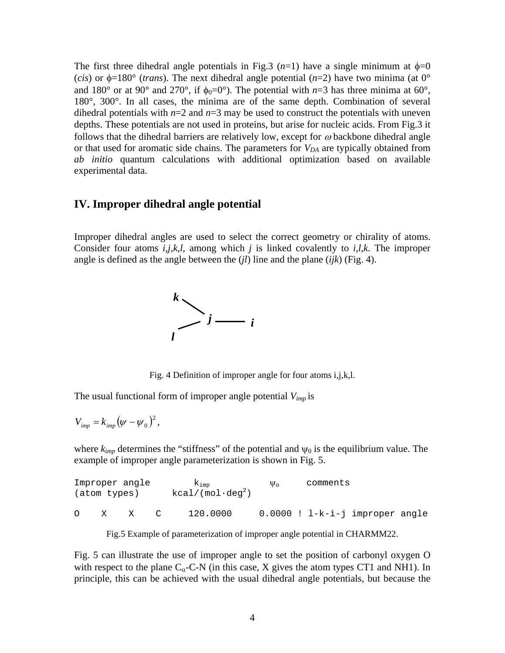The first three dihedral angle potentials in Fig.3  $(n=1)$  have a single minimum at  $\phi=0$ (*cis*) or  $\phi$ =180° (*trans*). The next dihedral angle potential (*n*=2) have two minima (at 0° and 180° or at 90° and 270°, if  $\phi_0 = 0$ °). The potential with *n*=3 has three minima at 60°, 180°, 300°. In all cases, the minima are of the same depth. Combination of several dihedral potentials with *n*=2 and *n*=3 may be used to construct the potentials with uneven depths. These potentials are not used in proteins, but arise for nucleic acids. From Fig.3 it follows that the dihedral barriers are relatively low, except for  $\omega$  backbone dihedral angle or that used for aromatic side chains. The parameters for  $V_{DA}$  are typically obtained from *ab initio* quantum calculations with additional optimization based on available experimental data.

### **IV. Improper dihedral angle potential**

Improper dihedral angles are used to select the correct geometry or chirality of atoms. Consider four atoms *i,j,k,l,* among which *j* is linked covalently to *i,l,k*. The improper angle is defined as the angle between the (*jl*) line and the plane (*ijk*) (Fig. 4).



Fig. 4 Definition of improper angle for four atoms i,j,k,l.

The usual functional form of improper angle potential *Vimp* is

$$
V_{imp}=k_{imp}(\psi-\psi_0)^2,
$$

where  $k_{imp}$  determines the "stiffness" of the potential and  $\psi_0$  is the equilibrium value. The example of improper angle parameterization is shown in Fig. 5.

|          | Improper angle |   |        | $K_{\text{imp}}$         | $\Psi_{\alpha}$ | comments |                                     |  |
|----------|----------------|---|--------|--------------------------|-----------------|----------|-------------------------------------|--|
|          | (atom types)   |   |        | $kcal/(mol \cdot deg^2)$ |                 |          |                                     |  |
|          |                |   |        |                          |                 |          |                                     |  |
| $\Omega$ |                | X | $\sim$ | 120.0000                 |                 |          | $0.0000$ ! $1-k-i-j$ improper angle |  |

Fig.5 Example of parameterization of improper angle potential in CHARMM22.

Fig. 5 can illustrate the use of improper angle to set the position of carbonyl oxygen O with respect to the plane  $C_{\alpha}$ -C-N (in this case, X gives the atom types CT1 and NH1). In principle, this can be achieved with the usual dihedral angle potentials, but because the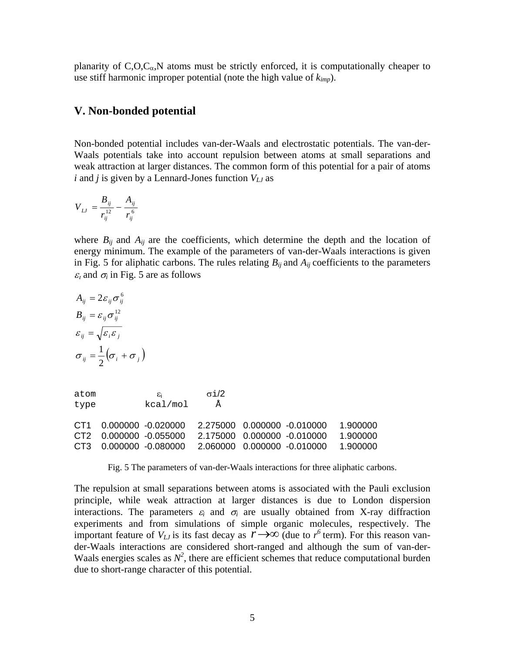planarity of  $C, O, C_{\alpha}$ , N atoms must be strictly enforced, it is computationally cheaper to use stiff harmonic improper potential (note the high value of *kimp*).

#### **V. Non-bonded potential**

Non-bonded potential includes van-der-Waals and electrostatic potentials. The van-der-Waals potentials take into account repulsion between atoms at small separations and weak attraction at larger distances. The common form of this potential for a pair of atoms  $i$  and  $j$  is given by a Lennard-Jones function  $V_{IJ}$  as

$$
V_{LJ} = \frac{B_{ij}}{r_{ij}^{12}} - \frac{A_{ij}}{r_{ij}^6}
$$

where  $B_{ij}$  and  $A_{ij}$  are the coefficients, which determine the depth and the location of energy minimum. The example of the parameters of van-der-Waals interactions is given in Fig. 5 for aliphatic carbons. The rules relating  $B_{ij}$  and  $A_{ij}$  coefficients to the parameters  $\varepsilon$ <sub>*i*</sub> and  $\sigma$ <sub>*i*</sub> in Fig. 5 are as follows

$$
A_{ij} = 2\varepsilon_{ij}\sigma_{ij}^6
$$
  
\n
$$
B_{ij} = \varepsilon_{ij}\sigma_{ij}^{12}
$$
  
\n
$$
\varepsilon_{ij} = \sqrt{\varepsilon_i\varepsilon_j}
$$
  
\n
$$
\sigma_{ij} = \frac{1}{2}(\sigma_i + \sigma_j)
$$

atom  $\varepsilon_i$   $\sigma i/2$ type kcal/mol Å

|  | CT1  0.000000  -0.020000  2.275000  0.000000  -0.010000  1.900000 |  |  |
|--|-------------------------------------------------------------------|--|--|
|  | CT2  0.000000  -0.055000  2.175000  0.000000  -0.010000  1.900000 |  |  |
|  | CT3  0.000000  -0.080000  2.060000  0.000000  -0.010000  1.900000 |  |  |

Fig. 5 The parameters of van-der-Waals interactions for three aliphatic carbons.

The repulsion at small separations between atoms is associated with the Pauli exclusion principle, while weak attraction at larger distances is due to London dispersion interactions. The parameters  $\varepsilon_i$  and  $\sigma_i$  are usually obtained from X-ray diffraction experiments and from simulations of simple organic molecules, respectively. The important feature of  $V_{LJ}$  is its fast decay as  $r \rightarrow \infty$  (due to  $r^6$  term). For this reason vander-Waals interactions are considered short-ranged and although the sum of van-der-Waals energies scales as  $N^2$ , there are efficient schemes that reduce computational burden due to short-range character of this potential.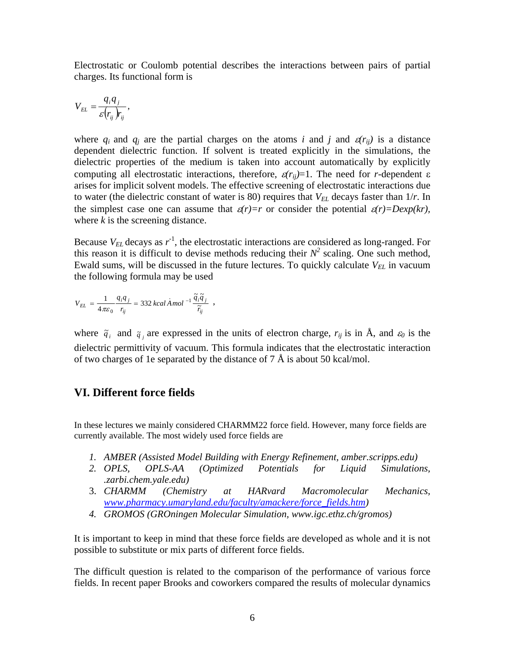Electrostatic or Coulomb potential describes the interactions between pairs of partial charges. Its functional form is

$$
V_{EL} = \frac{q_i q_j}{\varepsilon(r_{ij}) r_{ij}},
$$

where  $q_i$  and  $q_j$  are the partial charges on the atoms *i* and *j* and  $\varepsilon(r_{ij})$  is a distance dependent dielectric function. If solvent is treated explicitly in the simulations, the dielectric properties of the medium is taken into account automatically by explicitly computing all electrostatic interactions, therefore,  $\varepsilon(r_{ii})=1$ . The need for *r*-dependent  $\varepsilon$ arises for implicit solvent models. The effective screening of electrostatic interactions due to water (the dielectric constant of water is 80) requires that  $V_{EL}$  decays faster than  $1/r$ . In the simplest case one can assume that  $\varepsilon(r)=r$  or consider the potential  $\varepsilon(r)=D\varepsilon x p(kr)$ , where *k* is the screening distance.

Because  $V_{EL}$  decays as  $r^{-1}$ , the electrostatic interactions are considered as long-ranged. For this reason it is difficult to devise methods reducing their  $N^2$  scaling. One such method, Ewald sums, will be discussed in the future lectures. To quickly calculate  $V_{EL}$  in vacuum the following formula may be used

$$
V_{EL} = \frac{1}{4\pi\varepsilon_0} \frac{q_i q_j}{r_{ij}} = 332 \; kcal \, \dot A \, mol^{-1} \frac{\widetilde q_i \widetilde q_j}{\widetilde r_{ij}} \;\; ,
$$

where  $\tilde{q}_i$  and  $\tilde{q}_j$  are expressed in the units of electron charge,  $r_{ij}$  is in Å, and  $\varepsilon_0$  is the dielectric permittivity of vacuum. This formula indicates that the electrostatic interaction of two charges of 1e separated by the distance of  $7 \text{ Å}$  is about 50 kcal/mol.

## **VI. Different force fields**

In these lectures we mainly considered CHARMM22 force field. However, many force fields are currently available. The most widely used force fields are

- *1. AMBER (Assisted Model Building with Energy Refinement, amber.scripps.edu)*
- *2. OPLS, OPLS-AA (Optimized Potentials for Liquid Simulations, .zarbi.chem.yale.edu)*
- 3. *CHARMM (Chemistry at HARvard Macromolecular Mechanics, [www.pharmacy.umaryland.edu/faculty/amackere/force\\_fields.htm](http://www.pharmacy.umaryland.edu/faculty/amackere/force_fields.htm))*
- *4. GROMOS (GROningen Molecular Simulation, www.igc.ethz.ch/gromos)*

It is important to keep in mind that these force fields are developed as whole and it is not possible to substitute or mix parts of different force fields.

The difficult question is related to the comparison of the performance of various force fields. In recent paper Brooks and coworkers compared the results of molecular dynamics